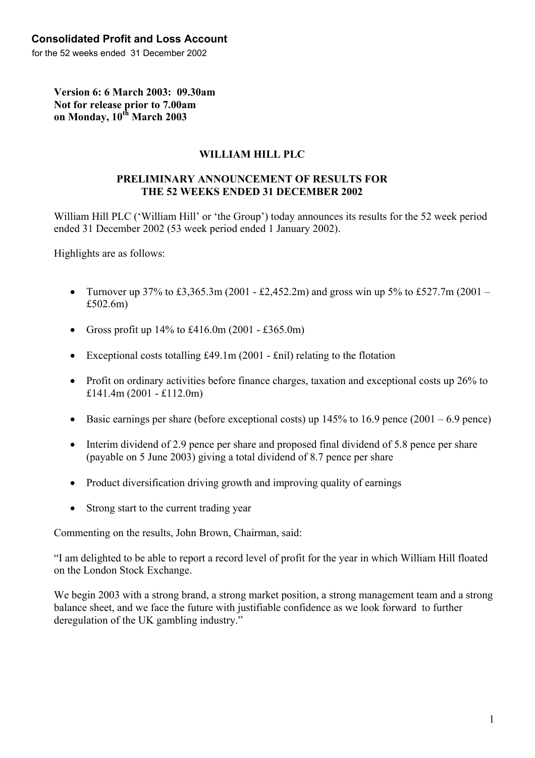for the 52 weeks ended 31 December 2002

**Version 6: 6 March 2003: 09.30am Not for release prior to 7.00am on Monday, 10th March 2003** 

## **WILLIAM HILL PLC**

#### **PRELIMINARY ANNOUNCEMENT OF RESULTS FOR THE 52 WEEKS ENDED 31 DECEMBER 2002**

William Hill PLC ('William Hill' or 'the Group') today announces its results for the 52 week period ended 31 December 2002 (53 week period ended 1 January 2002).

Highlights are as follows:

- Turnover up 37% to £3,365.3m (2001 £2,452.2m) and gross win up 5% to £527.7m (2001 £502.6m)
- Gross profit up  $14\%$  to £416.0m (2001 £365.0m)
- Exceptional costs totalling £49.1m (2001 £nil) relating to the flotation
- Profit on ordinary activities before finance charges, taxation and exceptional costs up 26% to £141.4m (2001 - £112.0m)
- Basic earnings per share (before exceptional costs) up  $145\%$  to  $16.9$  pence  $(2001 6.9$  pence)
- Interim dividend of 2.9 pence per share and proposed final dividend of 5.8 pence per share (payable on 5 June 2003) giving a total dividend of 8.7 pence per share
- Product diversification driving growth and improving quality of earnings
- Strong start to the current trading year

Commenting on the results, John Brown, Chairman, said:

"I am delighted to be able to report a record level of profit for the year in which William Hill floated on the London Stock Exchange.

We begin 2003 with a strong brand, a strong market position, a strong management team and a strong balance sheet, and we face the future with justifiable confidence as we look forward to further deregulation of the UK gambling industry."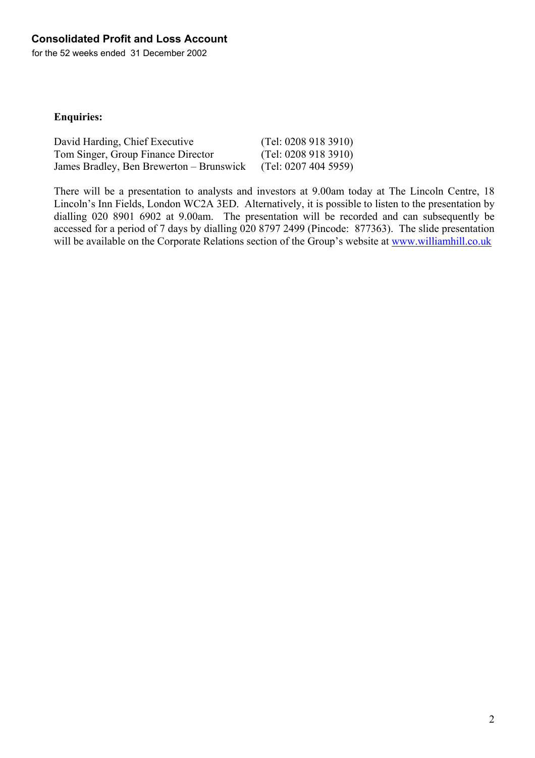for the 52 weeks ended 31 December 2002

## **Enquiries:**

| David Harding, Chief Executive           | (Tel: 02089183910)   |
|------------------------------------------|----------------------|
| Tom Singer, Group Finance Director       | (Tel: 02089183910)   |
| James Bradley, Ben Brewerton – Brunswick | (Tel: 0207 404 5959) |

There will be a presentation to analysts and investors at 9.00am today at The Lincoln Centre, 18 Lincoln's Inn Fields, London WC2A 3ED. Alternatively, it is possible to listen to the presentation by dialling 020 8901 6902 at 9.00am. The presentation will be recorded and can subsequently be accessed for a period of 7 days by dialling 020 8797 2499 (Pincode: 877363). The slide presentation will be available on the Corporate Relations section of the Group's website at [www.williamhill.co.uk](http://www.williamhill.co.uk/)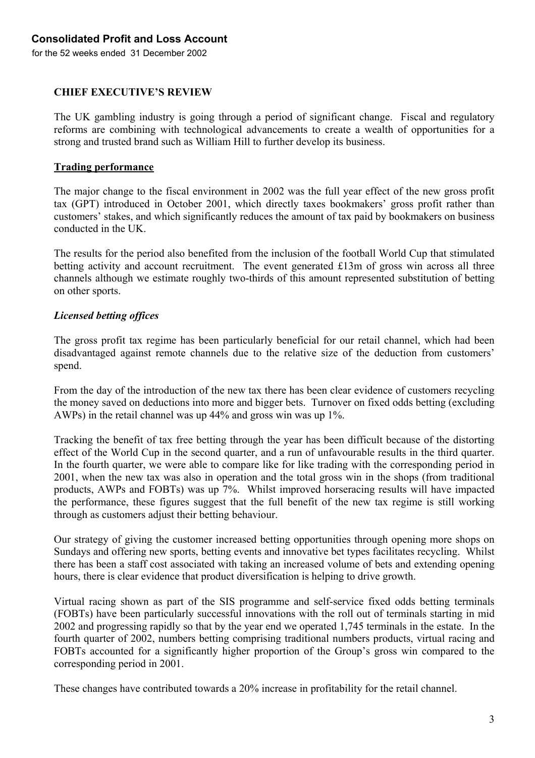## **Consolidated Profit and Loss Account**

for the 52 weeks ended 31 December 2002

### **CHIEF EXECUTIVE'S REVIEW**

The UK gambling industry is going through a period of significant change. Fiscal and regulatory reforms are combining with technological advancements to create a wealth of opportunities for a strong and trusted brand such as William Hill to further develop its business.

#### **Trading performance**

The major change to the fiscal environment in 2002 was the full year effect of the new gross profit tax (GPT) introduced in October 2001, which directly taxes bookmakers' gross profit rather than customers' stakes, and which significantly reduces the amount of tax paid by bookmakers on business conducted in the UK.

The results for the period also benefited from the inclusion of the football World Cup that stimulated betting activity and account recruitment. The event generated £13m of gross win across all three channels although we estimate roughly two-thirds of this amount represented substitution of betting on other sports.

#### *Licensed betting offices*

The gross profit tax regime has been particularly beneficial for our retail channel, which had been disadvantaged against remote channels due to the relative size of the deduction from customers' spend.

From the day of the introduction of the new tax there has been clear evidence of customers recycling the money saved on deductions into more and bigger bets. Turnover on fixed odds betting (excluding AWPs) in the retail channel was up 44% and gross win was up 1%.

Tracking the benefit of tax free betting through the year has been difficult because of the distorting effect of the World Cup in the second quarter, and a run of unfavourable results in the third quarter. In the fourth quarter, we were able to compare like for like trading with the corresponding period in 2001, when the new tax was also in operation and the total gross win in the shops (from traditional products, AWPs and FOBTs) was up 7%. Whilst improved horseracing results will have impacted the performance, these figures suggest that the full benefit of the new tax regime is still working through as customers adjust their betting behaviour.

Our strategy of giving the customer increased betting opportunities through opening more shops on Sundays and offering new sports, betting events and innovative bet types facilitates recycling. Whilst there has been a staff cost associated with taking an increased volume of bets and extending opening hours, there is clear evidence that product diversification is helping to drive growth.

Virtual racing shown as part of the SIS programme and self-service fixed odds betting terminals (FOBTs) have been particularly successful innovations with the roll out of terminals starting in mid 2002 and progressing rapidly so that by the year end we operated 1,745 terminals in the estate. In the fourth quarter of 2002, numbers betting comprising traditional numbers products, virtual racing and FOBTs accounted for a significantly higher proportion of the Group's gross win compared to the corresponding period in 2001.

These changes have contributed towards a 20% increase in profitability for the retail channel.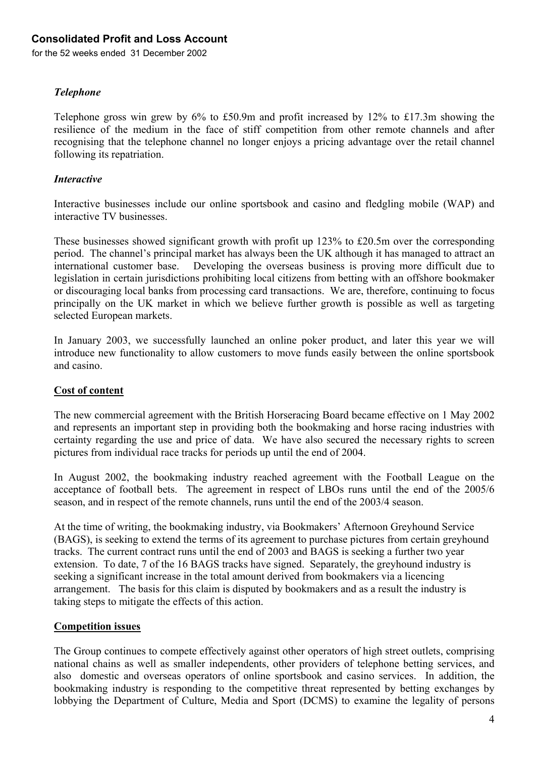## **Consolidated Profit and Loss Account**

for the 52 weeks ended 31 December 2002

### *Telephone*

Telephone gross win grew by 6% to £50.9m and profit increased by 12% to £17.3m showing the resilience of the medium in the face of stiff competition from other remote channels and after recognising that the telephone channel no longer enjoys a pricing advantage over the retail channel following its repatriation.

#### *Interactive*

Interactive businesses include our online sportsbook and casino and fledgling mobile (WAP) and interactive TV businesses.

These businesses showed significant growth with profit up 123% to £20.5m over the corresponding period. The channel's principal market has always been the UK although it has managed to attract an international customer base. Developing the overseas business is proving more difficult due to legislation in certain jurisdictions prohibiting local citizens from betting with an offshore bookmaker or discouraging local banks from processing card transactions. We are, therefore, continuing to focus principally on the UK market in which we believe further growth is possible as well as targeting selected European markets.

In January 2003, we successfully launched an online poker product, and later this year we will introduce new functionality to allow customers to move funds easily between the online sportsbook and casino.

### **Cost of content**

The new commercial agreement with the British Horseracing Board became effective on 1 May 2002 and represents an important step in providing both the bookmaking and horse racing industries with certainty regarding the use and price of data. We have also secured the necessary rights to screen pictures from individual race tracks for periods up until the end of 2004.

In August 2002, the bookmaking industry reached agreement with the Football League on the acceptance of football bets. The agreement in respect of LBOs runs until the end of the 2005/6 season, and in respect of the remote channels, runs until the end of the 2003/4 season.

At the time of writing, the bookmaking industry, via Bookmakers' Afternoon Greyhound Service (BAGS), is seeking to extend the terms of its agreement to purchase pictures from certain greyhound tracks. The current contract runs until the end of 2003 and BAGS is seeking a further two year extension. To date, 7 of the 16 BAGS tracks have signed. Separately, the greyhound industry is seeking a significant increase in the total amount derived from bookmakers via a licencing arrangement. The basis for this claim is disputed by bookmakers and as a result the industry is taking steps to mitigate the effects of this action.

### **Competition issues**

The Group continues to compete effectively against other operators of high street outlets, comprising national chains as well as smaller independents, other providers of telephone betting services, and also domestic and overseas operators of online sportsbook and casino services. In addition, the bookmaking industry is responding to the competitive threat represented by betting exchanges by lobbying the Department of Culture, Media and Sport (DCMS) to examine the legality of persons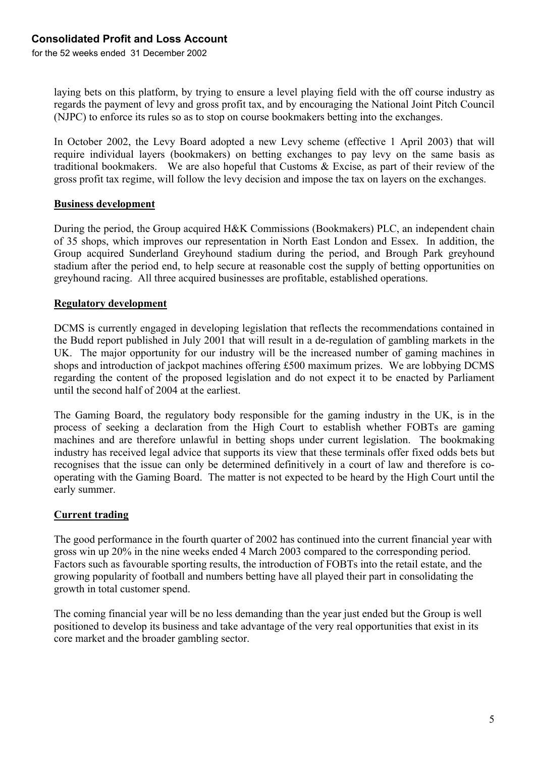for the 52 weeks ended 31 December 2002

laying bets on this platform, by trying to ensure a level playing field with the off course industry as regards the payment of levy and gross profit tax, and by encouraging the National Joint Pitch Council (NJPC) to enforce its rules so as to stop on course bookmakers betting into the exchanges.

In October 2002, the Levy Board adopted a new Levy scheme (effective 1 April 2003) that will require individual layers (bookmakers) on betting exchanges to pay levy on the same basis as traditional bookmakers. We are also hopeful that Customs & Excise, as part of their review of the gross profit tax regime, will follow the levy decision and impose the tax on layers on the exchanges.

### **Business development**

During the period, the Group acquired H&K Commissions (Bookmakers) PLC, an independent chain of 35 shops, which improves our representation in North East London and Essex. In addition, the Group acquired Sunderland Greyhound stadium during the period, and Brough Park greyhound stadium after the period end, to help secure at reasonable cost the supply of betting opportunities on greyhound racing. All three acquired businesses are profitable, established operations.

## **Regulatory development**

DCMS is currently engaged in developing legislation that reflects the recommendations contained in the Budd report published in July 2001 that will result in a de-regulation of gambling markets in the UK. The major opportunity for our industry will be the increased number of gaming machines in shops and introduction of jackpot machines offering £500 maximum prizes. We are lobbying DCMS regarding the content of the proposed legislation and do not expect it to be enacted by Parliament until the second half of 2004 at the earliest.

The Gaming Board, the regulatory body responsible for the gaming industry in the UK, is in the process of seeking a declaration from the High Court to establish whether FOBTs are gaming machines and are therefore unlawful in betting shops under current legislation. The bookmaking industry has received legal advice that supports its view that these terminals offer fixed odds bets but recognises that the issue can only be determined definitively in a court of law and therefore is cooperating with the Gaming Board. The matter is not expected to be heard by the High Court until the early summer.

### **Current trading**

The good performance in the fourth quarter of 2002 has continued into the current financial year with gross win up 20% in the nine weeks ended 4 March 2003 compared to the corresponding period. Factors such as favourable sporting results, the introduction of FOBTs into the retail estate, and the growing popularity of football and numbers betting have all played their part in consolidating the growth in total customer spend.

The coming financial year will be no less demanding than the year just ended but the Group is well positioned to develop its business and take advantage of the very real opportunities that exist in its core market and the broader gambling sector.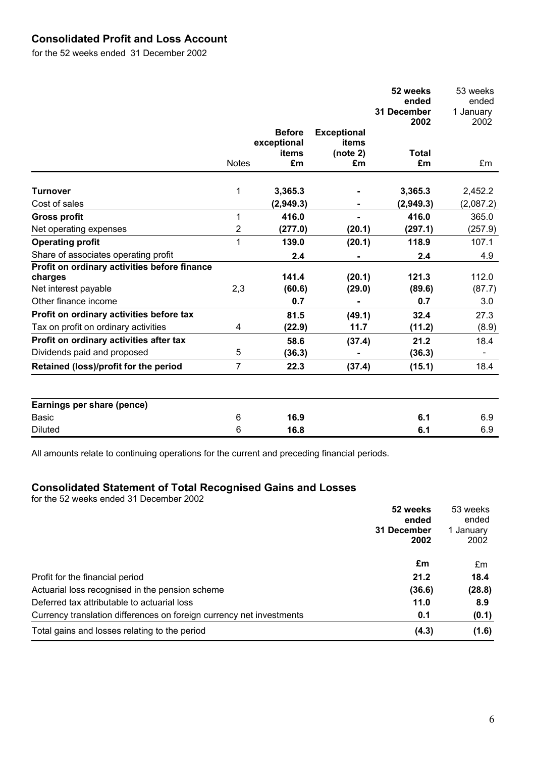# **Consolidated Profit and Loss Account**

for the 52 weeks ended 31 December 2002

|                                              |                |                      |                             | 52 weeks<br>ended<br>31 December<br>2002 | 53 weeks<br>ended<br>1 January<br>2002 |
|----------------------------------------------|----------------|----------------------|-----------------------------|------------------------------------------|----------------------------------------|
|                                              |                | <b>Before</b>        | <b>Exceptional</b><br>items |                                          |                                        |
|                                              |                | exceptional<br>items | (note 2)                    | <b>Total</b>                             |                                        |
|                                              | <b>Notes</b>   | £m                   | £m                          | £m                                       | £m                                     |
| <b>Turnover</b>                              | 1              | 3,365.3              |                             | 3,365.3                                  | 2,452.2                                |
| Cost of sales                                |                | (2,949.3)            |                             | (2,949.3)                                | (2,087.2)                              |
| <b>Gross profit</b>                          | 1              | 416.0                |                             | 416.0                                    | 365.0                                  |
| Net operating expenses                       | $\overline{2}$ | (277.0)              | (20.1)                      | (297.1)                                  | (257.9)                                |
| <b>Operating profit</b>                      | 1              | 139.0                | (20.1)                      | 118.9                                    | 107.1                                  |
| Share of associates operating profit         |                | 2.4                  |                             | 2.4                                      | 4.9                                    |
| Profit on ordinary activities before finance |                |                      |                             |                                          |                                        |
| charges                                      |                | 141.4                | (20.1)                      | 121.3                                    | 112.0                                  |
| Net interest payable                         | 2,3            | (60.6)               | (29.0)                      | (89.6)                                   | (87.7)                                 |
| Other finance income                         |                | 0.7                  |                             | 0.7                                      | 3.0                                    |
| Profit on ordinary activities before tax     |                | 81.5                 | (49.1)                      | 32.4                                     | 27.3                                   |
| Tax on profit on ordinary activities         | 4              | (22.9)               | 11.7                        | (11.2)                                   | (8.9)                                  |
| Profit on ordinary activities after tax      |                | 58.6                 | (37.4)                      | 21.2                                     | 18.4                                   |
| Dividends paid and proposed                  | 5              | (36.3)               |                             | (36.3)                                   |                                        |
| Retained (loss)/profit for the period        | $\overline{7}$ | 22.3                 | (37.4)                      | (15.1)                                   | 18.4                                   |
|                                              |                |                      |                             |                                          |                                        |
| Earnings per share (pence)                   |                |                      |                             |                                          |                                        |
| <b>Basic</b>                                 | 6              | 16.9                 |                             | 6.1                                      | 6.9                                    |
| <b>Diluted</b>                               | 6              | 16.8                 |                             | 6.1                                      | 6.9                                    |

All amounts relate to continuing operations for the current and preceding financial periods.

## **Consolidated Statement of Total Recognised Gains and Losses**

for the 52 weeks ended 31 December 2002

|                                                                      | 52 weeks<br>ended | 53 weeks<br>ended |
|----------------------------------------------------------------------|-------------------|-------------------|
|                                                                      | 31 December       | 1 January         |
|                                                                      | 2002              | 2002              |
|                                                                      | £m                | £m                |
| Profit for the financial period                                      | 21.2              | 18.4              |
| Actuarial loss recognised in the pension scheme                      | (36.6)            | (28.8)            |
| Deferred tax attributable to actuarial loss                          | 11.0              | 8.9               |
| Currency translation differences on foreign currency net investments | 0.1               | (0.1)             |
| Total gains and losses relating to the period                        | (4.3)             | (1.6)             |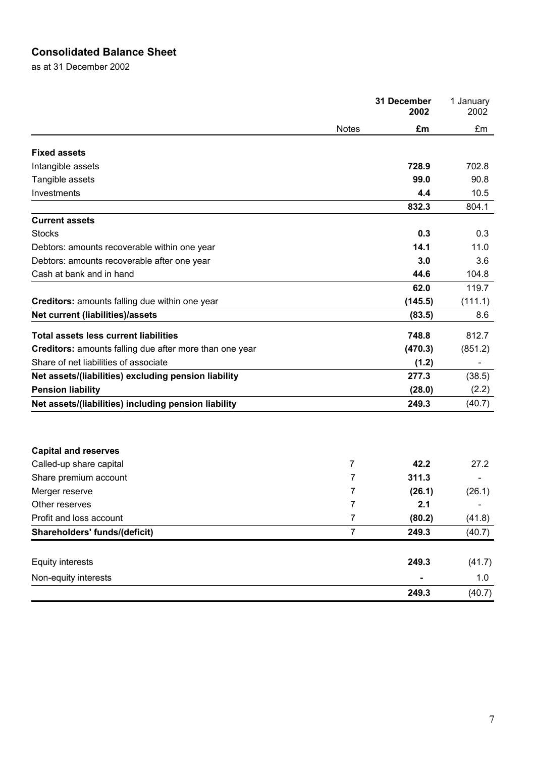# **Consolidated Balance Sheet**

as at 31 December 2002

|                                                         |                | 31 December<br>2002 | 1 January<br>2002 |
|---------------------------------------------------------|----------------|---------------------|-------------------|
|                                                         | <b>Notes</b>   | £m                  | £m                |
| <b>Fixed assets</b>                                     |                |                     |                   |
| Intangible assets                                       |                | 728.9               | 702.8             |
| Tangible assets                                         |                | 99.0                | 90.8              |
| Investments                                             |                | 4.4                 | 10.5              |
|                                                         |                | 832.3               | 804.1             |
| <b>Current assets</b>                                   |                |                     |                   |
| <b>Stocks</b>                                           |                | 0.3                 | 0.3               |
| Debtors: amounts recoverable within one year            |                | 14.1                | 11.0              |
| Debtors: amounts recoverable after one year             |                | 3.0                 | 3.6               |
| Cash at bank and in hand                                |                | 44.6                | 104.8             |
|                                                         |                | 62.0                | 119.7             |
| Creditors: amounts falling due within one year          |                | (145.5)             | (111.1)           |
| Net current (liabilities)/assets                        |                | (83.5)              | 8.6               |
| <b>Total assets less current liabilities</b>            |                | 748.8               | 812.7             |
| Creditors: amounts falling due after more than one year |                | (470.3)             | (851.2)           |
| Share of net liabilities of associate                   |                | (1.2)               |                   |
| Net assets/(liabilities) excluding pension liability    |                | 277.3               | (38.5)            |
| <b>Pension liability</b>                                |                | (28.0)              | (2.2)             |
| Net assets/(liabilities) including pension liability    |                | 249.3               | (40.7)            |
|                                                         |                |                     |                   |
| <b>Capital and reserves</b>                             |                |                     |                   |
| Called-up share capital                                 | 7              | 42.2                | 27.2              |
| Share premium account                                   | 7              | 311.3               |                   |
| Merger reserve                                          | 7              | (26.1)              | (26.1)            |
| Other reserves                                          | $\overline{7}$ | 2.1                 |                   |
| Profit and loss account                                 | 7              | (80.2)              | (41.8)            |
| Shareholders' funds/(deficit)                           | 7              | 249.3               | (40.7)            |
| <b>Equity interests</b>                                 |                | 249.3               | (41.7)            |
| Non-equity interests                                    |                |                     | 1.0               |
|                                                         |                | 249.3               | (40.7)            |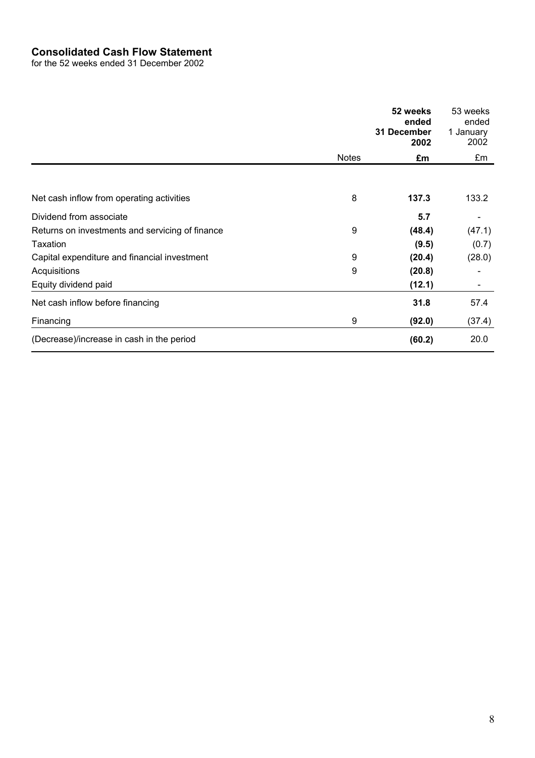# **Consolidated Cash Flow Statement**

for the 52 weeks ended 31 December 2002

|                                                 |              | 52 weeks<br>ended<br>31 December<br>2002 | 53 weeks<br>ended<br>1 January<br>2002 |
|-------------------------------------------------|--------------|------------------------------------------|----------------------------------------|
|                                                 | <b>Notes</b> | £m                                       | £m                                     |
|                                                 |              |                                          |                                        |
| Net cash inflow from operating activities       | 8            | 137.3                                    | 133.2                                  |
| Dividend from associate                         |              | 5.7                                      |                                        |
| Returns on investments and servicing of finance | 9            | (48.4)                                   | (47.1)                                 |
| Taxation                                        |              | (9.5)                                    | (0.7)                                  |
| Capital expenditure and financial investment    | 9            | (20.4)                                   | (28.0)                                 |
| Acquisitions                                    | 9            | (20.8)                                   |                                        |
| Equity dividend paid                            |              | (12.1)                                   |                                        |
| Net cash inflow before financing                |              | 31.8                                     | 57.4                                   |
| Financing                                       | 9            | (92.0)                                   | (37.4)                                 |
| (Decrease)/increase in cash in the period       |              | (60.2)                                   | 20.0                                   |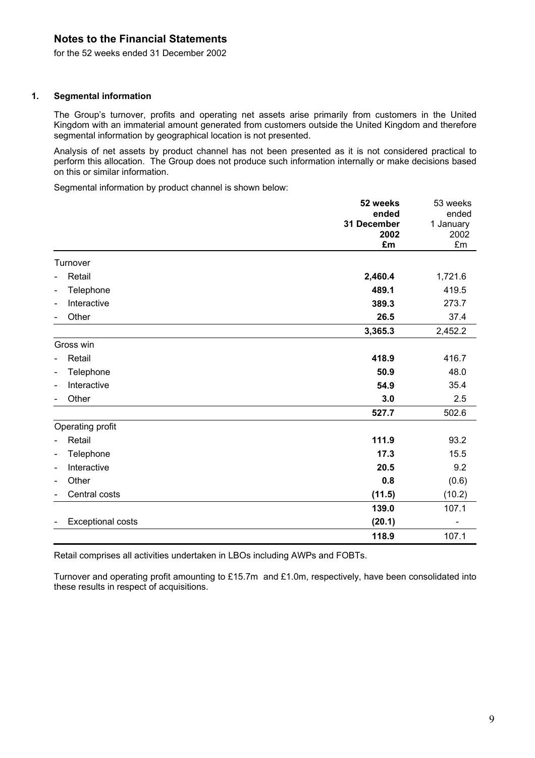for the 52 weeks ended 31 December 2002

#### **1. Segmental information**

The Group's turnover, profits and operating net assets arise primarily from customers in the United Kingdom with an immaterial amount generated from customers outside the United Kingdom and therefore segmental information by geographical location is not presented.

Analysis of net assets by product channel has not been presented as it is not considered practical to perform this allocation. The Group does not produce such information internally or make decisions based on this or similar information.

Segmental information by product channel is shown below:

|                                                          | 52 weeks<br>ended<br>31 December<br>2002 | 53 weeks<br>ended<br>1 January<br>2002 |
|----------------------------------------------------------|------------------------------------------|----------------------------------------|
|                                                          | £m                                       | £m                                     |
| Turnover                                                 |                                          |                                        |
| Retail<br>$\blacksquare$                                 | 2,460.4                                  | 1,721.6                                |
| Telephone<br>$\overline{\phantom{0}}$                    | 489.1                                    | 419.5                                  |
| Interactive<br>$\qquad \qquad \blacksquare$              | 389.3                                    | 273.7                                  |
| Other                                                    | 26.5                                     | 37.4                                   |
|                                                          | 3,365.3                                  | 2,452.2                                |
| Gross win                                                |                                          |                                        |
| Retail<br>$\overline{\phantom{0}}$                       | 418.9                                    | 416.7                                  |
| Telephone<br>$\qquad \qquad \blacksquare$                | 50.9                                     | 48.0                                   |
| Interactive<br>$\qquad \qquad \blacksquare$              | 54.9                                     | 35.4                                   |
| Other                                                    | 3.0                                      | 2.5                                    |
|                                                          | 527.7                                    | 502.6                                  |
| Operating profit                                         |                                          |                                        |
| Retail<br>$\blacksquare$                                 | 111.9                                    | 93.2                                   |
| Telephone<br>$\qquad \qquad \blacksquare$                | 17.3                                     | 15.5                                   |
| Interactive<br>$\qquad \qquad \blacksquare$              | 20.5                                     | 9.2                                    |
| Other<br>$\blacksquare$                                  | 0.8                                      | (0.6)                                  |
| Central costs                                            | (11.5)                                   | (10.2)                                 |
|                                                          | 139.0                                    | 107.1                                  |
| <b>Exceptional costs</b><br>$\qquad \qquad \blacksquare$ | (20.1)                                   |                                        |
|                                                          | 118.9                                    | 107.1                                  |

Retail comprises all activities undertaken in LBOs including AWPs and FOBTs.

Turnover and operating profit amounting to £15.7m and £1.0m, respectively, have been consolidated into these results in respect of acquisitions.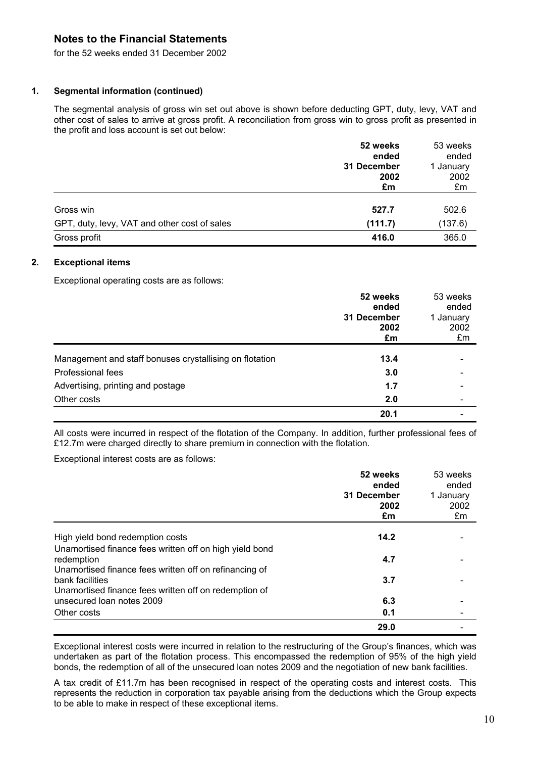for the 52 weeks ended 31 December 2002

#### **1. Segmental information (continued)**

The segmental analysis of gross win set out above is shown before deducting GPT, duty, levy, VAT and other cost of sales to arrive at gross profit. A reconciliation from gross win to gross profit as presented in the profit and loss account is set out below:

|                                              | 52 weeks    | 53 weeks  |
|----------------------------------------------|-------------|-----------|
|                                              | ended       | ended     |
|                                              | 31 December | 1 January |
|                                              | 2002        | 2002      |
|                                              | £m          | £m        |
| Gross win                                    |             | 502.6     |
|                                              | 527.7       |           |
| GPT, duty, levy, VAT and other cost of sales | (111.7)     | (137.6)   |
| Gross profit                                 | 416.0       | 365.0     |

#### **2. Exceptional items**

Exceptional operating costs are as follows:

|                                                         | 52 weeks<br>ended<br>31 December<br>2002<br>£m | 53 weeks<br>ended<br>1 January<br>2002<br>£m |
|---------------------------------------------------------|------------------------------------------------|----------------------------------------------|
| Management and staff bonuses crystallising on flotation | 13.4                                           |                                              |
| Professional fees                                       | 3.0                                            |                                              |
| Advertising, printing and postage                       | 1.7                                            |                                              |
| Other costs                                             | 2.0                                            |                                              |
|                                                         | 20.1                                           |                                              |

All costs were incurred in respect of the flotation of the Company. In addition, further professional fees of £12.7m were charged directly to share premium in connection with the flotation.

Exceptional interest costs are as follows:

|                                                                          | 52 weeks<br>ended<br>31 December<br>2002<br>£m | 53 weeks<br>ended<br>1 January<br>2002<br>£m |
|--------------------------------------------------------------------------|------------------------------------------------|----------------------------------------------|
| High yield bond redemption costs                                         | 14.2                                           |                                              |
| Unamortised finance fees written off on high yield bond                  |                                                |                                              |
| redemption<br>Unamortised finance fees written off on refinancing of     | 4.7                                            |                                              |
| bank facilities<br>Unamortised finance fees written off on redemption of | 3.7                                            |                                              |
| unsecured loan notes 2009                                                | 6.3                                            |                                              |
| Other costs                                                              | 0.1                                            |                                              |
|                                                                          | 29.0                                           |                                              |

Exceptional interest costs were incurred in relation to the restructuring of the Group's finances, which was undertaken as part of the flotation process. This encompassed the redemption of 95% of the high yield bonds, the redemption of all of the unsecured loan notes 2009 and the negotiation of new bank facilities.

A tax credit of £11.7m has been recognised in respect of the operating costs and interest costs. This represents the reduction in corporation tax payable arising from the deductions which the Group expects to be able to make in respect of these exceptional items.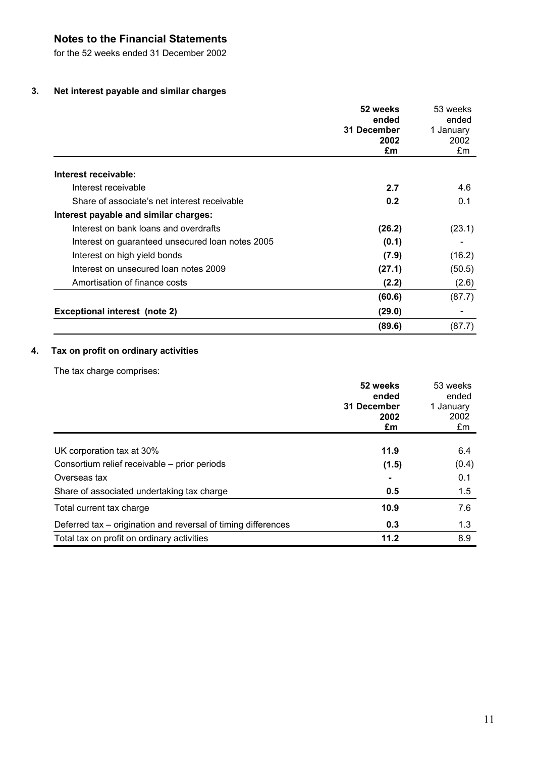for the 52 weeks ended 31 December 2002

## **3. Net interest payable and similar charges**

|                                                  | 52 weeks                           | 53 weeks<br>ended<br>1 January<br>2002<br>£m |
|--------------------------------------------------|------------------------------------|----------------------------------------------|
|                                                  | ended<br>31 December<br>2002<br>£m |                                              |
| Interest receivable:                             |                                    |                                              |
| Interest receivable                              | 2.7                                | 4.6                                          |
| Share of associate's net interest receivable     | 0.2                                | 0.1                                          |
| Interest payable and similar charges:            |                                    |                                              |
| Interest on bank loans and overdrafts            | (26.2)                             | (23.1)                                       |
| Interest on guaranteed unsecured loan notes 2005 | (0.1)                              |                                              |
| Interest on high yield bonds                     | (7.9)                              | (16.2)                                       |
| Interest on unsecured loan notes 2009            | (27.1)                             | (50.5)                                       |
| Amortisation of finance costs                    | (2.2)                              | (2.6)                                        |
|                                                  | (60.6)                             | (87.7)                                       |
| <b>Exceptional interest (note 2)</b>             | (29.0)                             |                                              |
|                                                  | (89.6)                             | (87.7)                                       |

## **4. Tax on profit on ordinary activities**

The tax charge comprises:

|                                                               | 52 weeks<br>ended<br>31 December<br>2002 | 53 weeks<br>ended<br>1 January<br>2002 |
|---------------------------------------------------------------|------------------------------------------|----------------------------------------|
|                                                               | £m                                       | £m                                     |
| UK corporation tax at 30%                                     | 11.9                                     | 6.4                                    |
| Consortium relief receivable – prior periods                  | (1.5)                                    | (0.4)                                  |
| Overseas tax                                                  |                                          | 0.1                                    |
| Share of associated undertaking tax charge                    | 0.5                                      | 1.5                                    |
| Total current tax charge                                      | 10.9                                     | 7.6                                    |
| Deferred tax – origination and reversal of timing differences | 0.3                                      | 1.3                                    |
| Total tax on profit on ordinary activities                    | 11.2                                     | 8.9                                    |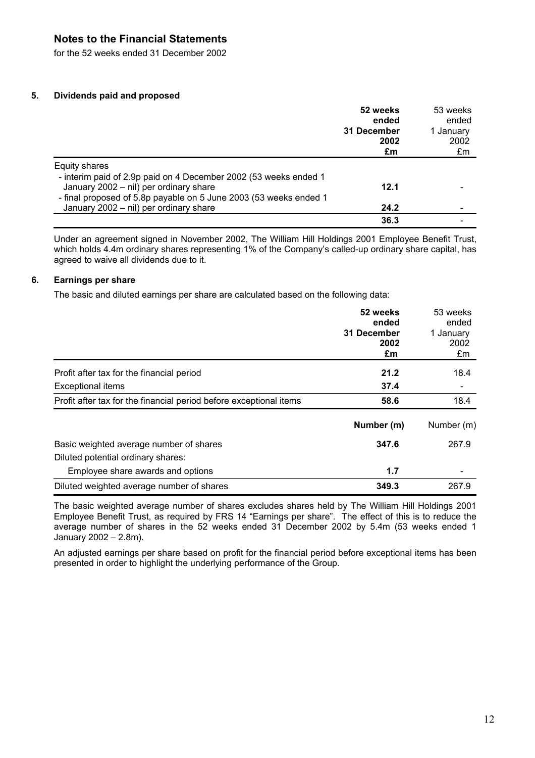for the 52 weeks ended 31 December 2002

#### **5. Dividends paid and proposed**

|                                                                                                             | 52 weeks<br>ended<br>31 December<br>2002<br>£m | 53 weeks<br>ended<br>1 January<br>2002<br>£m |
|-------------------------------------------------------------------------------------------------------------|------------------------------------------------|----------------------------------------------|
| Equity shares                                                                                               |                                                |                                              |
| - interim paid of 2.9p paid on 4 December 2002 (53 weeks ended 1                                            |                                                |                                              |
| January 2002 - nil) per ordinary share                                                                      | 12.1                                           |                                              |
| - final proposed of 5.8p payable on 5 June 2003 (53 weeks ended 1<br>January 2002 - nil) per ordinary share | 24.2                                           |                                              |
|                                                                                                             | 36.3                                           |                                              |
|                                                                                                             |                                                |                                              |

Under an agreement signed in November 2002, The William Hill Holdings 2001 Employee Benefit Trust, which holds 4.4m ordinary shares representing 1% of the Company's called-up ordinary share capital, has agreed to waive all dividends due to it.

#### **6. Earnings per share**

The basic and diluted earnings per share are calculated based on the following data:

|                                                                    | 52 weeks<br>ended   | 53 weeks<br>ended |
|--------------------------------------------------------------------|---------------------|-------------------|
|                                                                    | 31 December<br>2002 | 1 January<br>2002 |
|                                                                    | £m                  | £m                |
| Profit after tax for the financial period                          | 21.2                | 18.4              |
| <b>Exceptional items</b>                                           | 37.4                |                   |
| Profit after tax for the financial period before exceptional items | 58.6                | 18.4              |
|                                                                    | Number (m)          | Number (m)        |
| Basic weighted average number of shares                            | 347.6               | 267.9             |
| Diluted potential ordinary shares:                                 |                     |                   |
| Employee share awards and options                                  | 1.7                 |                   |
| Diluted weighted average number of shares                          | 349.3               | 267.9             |

The basic weighted average number of shares excludes shares held by The William Hill Holdings 2001 Employee Benefit Trust, as required by FRS 14 "Earnings per share". The effect of this is to reduce the average number of shares in the 52 weeks ended 31 December 2002 by 5.4m (53 weeks ended 1 January 2002 – 2.8m).

An adjusted earnings per share based on profit for the financial period before exceptional items has been presented in order to highlight the underlying performance of the Group.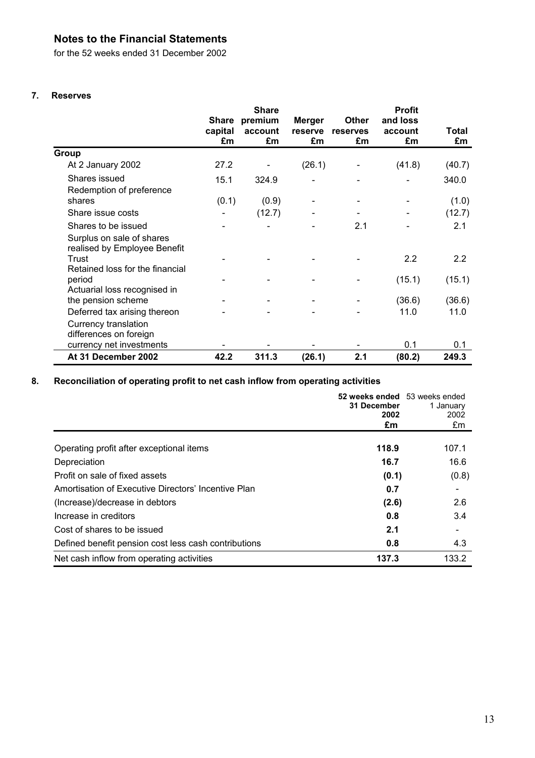for the 52 weeks ended 31 December 2002

### **7. Reserves**

|                                                                                  | <b>Share</b>                  |                          |                                |                                | <b>Profit</b>             |             |  |
|----------------------------------------------------------------------------------|-------------------------------|--------------------------|--------------------------------|--------------------------------|---------------------------|-------------|--|
|                                                                                  | <b>Share</b><br>capital<br>£m | premium<br>account<br>£m | <b>Merger</b><br>reserve<br>£m | <b>Other</b><br>reserves<br>£m | and loss<br>account<br>£m | Total<br>£m |  |
| <b>Group</b>                                                                     |                               |                          |                                |                                |                           |             |  |
| At 2 January 2002                                                                | 27.2                          |                          | (26.1)                         |                                | (41.8)                    | (40.7)      |  |
| Shares issued<br>Redemption of preference                                        | 15.1                          | 324.9                    |                                |                                |                           | 340.0       |  |
| shares                                                                           | (0.1)                         | (0.9)                    |                                |                                |                           | (1.0)       |  |
| Share issue costs                                                                | $\overline{\phantom{0}}$      | (12.7)                   | $\overline{\phantom{a}}$       |                                |                           | (12.7)      |  |
| Shares to be issued<br>Surplus on sale of shares<br>realised by Employee Benefit |                               |                          |                                | 2.1                            |                           | 2.1         |  |
| Trust<br>Retained loss for the financial                                         |                               |                          |                                |                                | 2.2                       | 2.2         |  |
| period<br>Actuarial loss recognised in                                           |                               |                          |                                |                                | (15.1)                    | (15.1)      |  |
| the pension scheme                                                               |                               |                          |                                |                                | (36.6)                    | (36.6)      |  |
| Deferred tax arising thereon<br>Currency translation<br>differences on foreign   |                               |                          |                                |                                | 11.0                      | 11.0        |  |
| currency net investments                                                         |                               |                          |                                |                                | 0.1                       | 0.1         |  |
| At 31 December 2002                                                              | 42.2                          | 311.3                    | (26.1)                         | 2.1                            | (80.2)                    | 249.3       |  |

## **8. Reconciliation of operating profit to net cash inflow from operating activities**

|                                                      | 52 weeks ended 53 weeks ended<br>31 December<br>2002<br>£m | 1 January<br>2002<br>£m  |
|------------------------------------------------------|------------------------------------------------------------|--------------------------|
| Operating profit after exceptional items             | 118.9                                                      | 107.1                    |
| Depreciation                                         | 16.7                                                       | 16.6                     |
| Profit on sale of fixed assets                       | (0.1)                                                      | (0.8)                    |
| Amortisation of Executive Directors' Incentive Plan  | 0.7                                                        |                          |
| (Increase)/decrease in debtors                       | (2.6)                                                      | 2.6                      |
| Increase in creditors                                | 0.8                                                        | 3.4                      |
| Cost of shares to be issued                          | 2.1                                                        | $\overline{\phantom{a}}$ |
| Defined benefit pension cost less cash contributions | 0.8                                                        | 4.3                      |
| Net cash inflow from operating activities            | 137.3                                                      | 133.2                    |